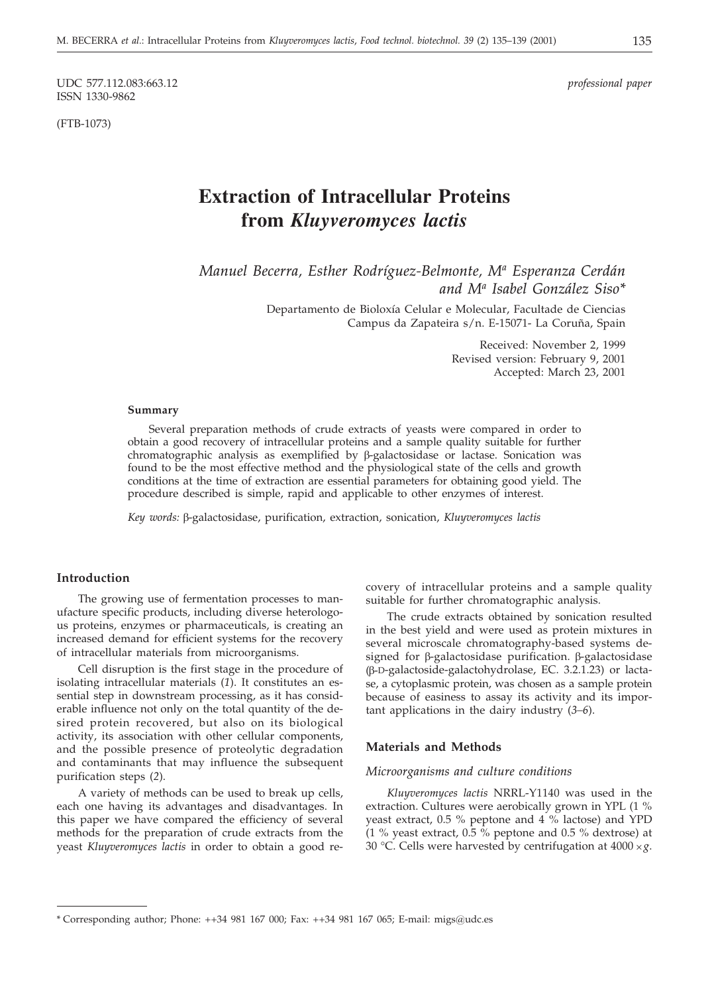UDC 577.112.083:663.12 *professional paper* ISSN 1330-9862

(FTB-1073)

# **Extraction of Intracellular Proteins from** *Kluyveromyces lactis*

*Manuel Becerra, Esther Rodríguez-Belmonte, Ma Esperanza Cerdán and Ma Isabel González Siso\**

> Departamento de Bioloxía Celular e Molecular, Facultade de Ciencias Campus da Zapateira s/n. E-15071- La Coruña, Spain

> > Received: November 2, 1999 Revised version: February 9, 2001 Accepted: March 23, 2001

#### **Summary**

Several preparation methods of crude extracts of yeasts were compared in order to obtain a good recovery of intracellular proteins and a sample quality suitable for further  $chromatographic$  analysis as exemplified by  $\beta$ -galactosidase or lactase. Sonication was found to be the most effective method and the physiological state of the cells and growth conditions at the time of extraction are essential parameters for obtaining good yield. The procedure described is simple, rapid and applicable to other enzymes of interest.

*Key words:* β-galactosidase, purification, extraction, sonication, *Kluyveromyces lactis* 

# **Introduction**

The growing use of fermentation processes to manufacture specific products, including diverse heterologous proteins, enzymes or pharmaceuticals, is creating an increased demand for efficient systems for the recovery of intracellular materials from microorganisms.

Cell disruption is the first stage in the procedure of isolating intracellular materials (*1*). It constitutes an essential step in downstream processing, as it has considerable influence not only on the total quantity of the desired protein recovered, but also on its biological activity, its association with other cellular components, and the possible presence of proteolytic degradation and contaminants that may influence the subsequent purification steps (*2*).

A variety of methods can be used to break up cells, each one having its advantages and disadvantages. In this paper we have compared the efficiency of several methods for the preparation of crude extracts from the yeast *Kluyveromyces lactis* in order to obtain a good recovery of intracellular proteins and a sample quality suitable for further chromatographic analysis.

The crude extracts obtained by sonication resulted in the best yield and were used as protein mixtures in several microscale chromatography-based systems designed for  $\beta$ -galactosidase purification.  $\beta$ -galactosidase (B-D-galactoside-galactohydrolase, EC. 3.2.1.23) or lactase, a cytoplasmic protein, was chosen as a sample protein because of easiness to assay its activity and its important applications in the dairy industry (*3–6*).

# **Materials and Methods**

#### *Microorganisms and culture conditions*

*Kluyveromyces lactis* NRRL-Y1140 was used in the extraction. Cultures were aerobically grown in YPL (1 % yeast extract, 0.5 % peptone and 4 % lactose) and YPD (1 % yeast extract,  $0.\overline{5}$  % peptone and 0.5 % dextrose) at 30 °C. Cells were harvested by centrifugation at 4000 ×g.

<sup>\*</sup> Corresponding author; Phone: ++34 981 167 000; Fax: ++34 981 167 065; E-mail: migs*@*udc.es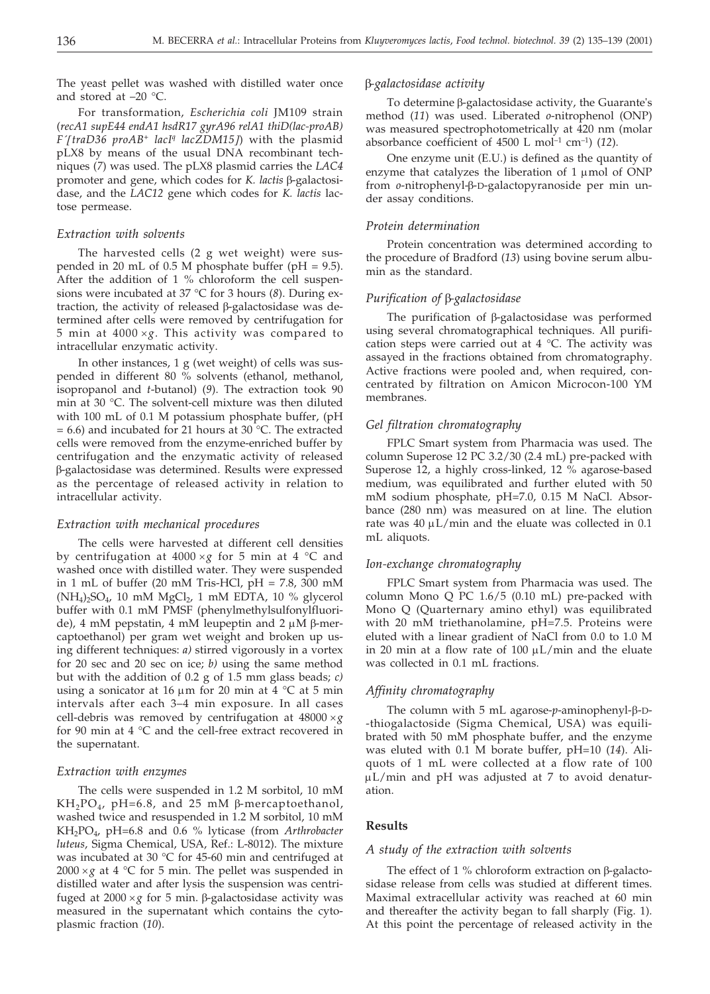The yeast pellet was washed with distilled water once and stored at –20 °C.

For transformation, *Escherichia coli* JM109 strain (*recA1 supE44 endA1 hsdR17 gyrA96 relA1 thiD(lac-proAB) F´traD36 proAB+ lacIq lacZDM15-*) with the plasmid pLX8 by means of the usual DNA recombinant techniques (*7*) was used. The pLX8 plasmid carries the *LAC4* promoter and gene, which codes for *K. lactis* β-galactosidase, and the *LAC12* gene which codes for *K. lactis* lactose permease.

#### *Extraction with solvents*

The harvested cells (2 g wet weight) were suspended in 20 mL of 0.5 M phosphate buffer (pH = 9.5). After the addition of 1 % chloroform the cell suspensions were incubated at 37 °C for 3 hours (*8*). During extraction, the activity of released  $\beta$ -galactosidase was determined after cells were removed by centrifugation for 5 min at 4000 $\times$ g. This activity was compared to intracellular enzymatic activity.

In other instances, 1 g (wet weight) of cells was suspended in different 80 % solvents (ethanol, methanol, isopropanol and *t*-butanol) (*9*). The extraction took 90 min at 30 °C. The solvent-cell mixture was then diluted with 100 mL of 0.1 M potassium phosphate buffer, (pH  $= 6.6$ ) and incubated for 21 hours at 30 °C. The extracted cells were removed from the enzyme-enriched buffer by centrifugation and the enzymatic activity of released -galactosidase was determined. Results were expressed as the percentage of released activity in relation to intracellular activity.

#### *Extraction with mechanical procedures*

The cells were harvested at different cell densities by centrifugation at 4000 $\times$ g for 5 min at 4 °C and washed once with distilled water. They were suspended in 1 mL of buffer (20 mM Tris-HCl,  $pH = 7.8$ , 300 mM  $(NH<sub>4</sub>)<sub>2</sub>SO<sub>4</sub>$ , 10 mM  $MgCl<sub>2</sub>$ , 1 mM EDTA, 10 % glycerol buffer with 0.1 mM PMSF (phenylmethylsulfonylfluoride), 4 mM pepstatin, 4 mM leupeptin and 2  $\mu$ M  $\beta$ -mercaptoethanol) per gram wet weight and broken up using different techniques: *a)* stirred vigorously in a vortex for 20 sec and 20 sec on ice; *b)* using the same method but with the addition of 0.2 g of 1.5 mm glass beads; *c)* using a sonicator at 16  $\mu$ m for 20 min at 4 °C at 5 min intervals after each 3–4 min exposure. In all cases cell-debris was removed by centrifugation at  $48000\times g$ for 90 min at 4 °C and the cell-free extract recovered in the supernatant.

#### *Extraction with enzymes*

The cells were suspended in 1.2 M sorbitol, 10 mM  $KH_2PO_4$ , pH=6.8, and 25 mM  $\beta$ -mercaptoethanol, washed twice and resuspended in 1.2 M sorbitol, 10 mM KH2PO4, pH=6.8 and 0.6 % lyticase (from *Arthrobacter luteus*, Sigma Chemical, USA, Ref.: L-8012). The mixture was incubated at 30 °C for 45-60 min and centrifuged at 2000  $\times$  $g$  at 4  $^\circ\text{C}$  for 5 min. The pellet was suspended in distilled water and after lysis the suspension was centrifuged at  $2000 \times g$  for 5 min.  $\beta$ -galactosidase activity was measured in the supernatant which contains the cytoplasmic fraction (*10*).

#### *-galactosidase activity*

To determine  $\beta$ -galactosidase activity, the Guarante's method (*11*) was used. Liberated *o*-nitrophenol (ONP) was measured spectrophotometrically at 420 nm (molar absorbance coefficient of 4500 L mol–1 cm–1) (*12*).

One enzyme unit (E.U.) is defined as the quantity of enzyme that catalyzes the liberation of  $1 \mu$ mol of ONP from *o*-nitrophenyl-ß-D-galactopyranoside per min under assay conditions.

#### *Protein determination*

Protein concentration was determined according to the procedure of Bradford (*13*) using bovine serum albumin as the standard.

#### *Purification of β-galactosidase*

The purification of  $\beta$ -galactosidase was performed using several chromatographical techniques. All purification steps were carried out at  $4 \degree C$ . The activity was assayed in the fractions obtained from chromatography. Active fractions were pooled and, when required, concentrated by filtration on Amicon Microcon-100 YM membranes.

#### *Gel filtration chromatography*

FPLC Smart system from Pharmacia was used. The column Superose 12 PC 3.2/30 (2.4 mL) pre-packed with Superose 12, a highly cross-linked, 12 % agarose-based medium, was equilibrated and further eluted with 50 mM sodium phosphate, pH=7.0, 0.15 M NaCl. Absorbance (280 nm) was measured on at line. The elution rate was  $40 \mu L/min$  and the eluate was collected in 0.1 mL aliquots.

#### *Ion-exchange chromatography*

FPLC Smart system from Pharmacia was used. The column Mono Q PC 1.6/5 (0.10 mL) pre-packed with Mono Q (Quarternary amino ethyl) was equilibrated with 20 mM triethanolamine, pH=7.5. Proteins were eluted with a linear gradient of NaCl from 0.0 to 1.0 M in 20 min at a flow rate of  $100 \mu L/min$  and the eluate was collected in 0.1 mL fractions.

#### *Affinity chromatography*

The column with  $5$  mL agarose- $p$ -aminophenyl- $\beta$ -D--thiogalactoside (Sigma Chemical, USA) was equilibrated with 50 mM phosphate buffer, and the enzyme was eluted with 0.1 M borate buffer, pH=10 (*14*). Aliquots of 1 mL were collected at a flow rate of 100  $\mu$ L/min and pH was adjusted at 7 to avoid denaturation.

## **Results**

#### *A study of the extraction with solvents*

The effect of 1 % chloroform extraction on  $\beta$ -galactosidase release from cells was studied at different times. Maximal extracellular activity was reached at 60 min and thereafter the activity began to fall sharply (Fig. 1). At this point the percentage of released activity in the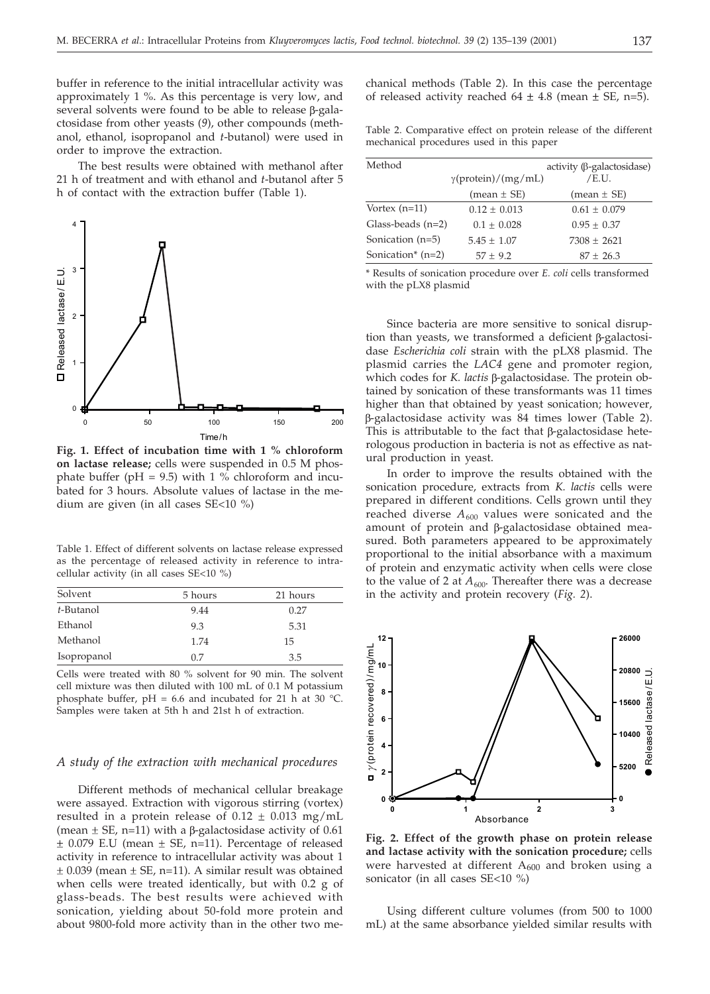buffer in reference to the initial intracellular activity was approximately 1 %. As this percentage is very low, and several solvents were found to be able to release  $\beta$ -galactosidase from other yeasts (*9*), other compounds (methanol, ethanol, isopropanol and *t*-butanol) were used in order to improve the extraction.

The best results were obtained with methanol after 21 h of treatment and with ethanol and *t*-butanol after 5 h of contact with the extraction buffer (Table 1).



**Fig. 1. Effect of incubation time with 1 % chloroform on lactase release;** cells were suspended in 0.5 M phosphate buffer ( $pH = 9.5$ ) with 1 % chloroform and incubated for 3 hours. Absolute values of lactase in the medium are given (in all cases SE<10 %)

Table 1. Effect of different solvents on lactase release expressed as the percentage of released activity in reference to intracellular activity (in all cases SE<10 %)

| Solvent     | 5 hours | 21 hours |
|-------------|---------|----------|
| t-Butanol   | 9.44    | 0.27     |
| Ethanol     | 9.3     | 5.31     |
| Methanol    | 1.74    | 15       |
| Isopropanol | 0.7     | 3.5      |

Cells were treated with 80 % solvent for 90 min. The solvent cell mixture was then diluted with 100 mL of 0.1 M potassium phosphate buffer, pH = 6.6 and incubated for 21 h at 30 °C. Samples were taken at 5th h and 21st h of extraction.

#### *A study of the extraction with mechanical procedures*

Different methods of mechanical cellular breakage were assayed. Extraction with vigorous stirring (vortex) resulted in a protein release of  $0.12 \pm 0.013$  mg/mL (mean  $\pm$  SE, n=11) with a  $\beta$ -galactosidase activity of 0.61  $\pm$  0.079 E.U (mean  $\pm$  SE, n=11). Percentage of released activity in reference to intracellular activity was about 1  $\pm$  0.039 (mean  $\pm$  SE, n=11). A similar result was obtained when cells were treated identically, but with 0.2 g of glass-beads. The best results were achieved with sonication, yielding about 50-fold more protein and about 9800-fold more activity than in the other two mechanical methods (Table 2). In this case the percentage of released activity reached  $64 \pm 4.8$  (mean  $\pm$  SE, n=5).

| Table 2. Comparative effect on protein release of the different |  |  |  |
|-----------------------------------------------------------------|--|--|--|
| mechanical procedures used in this paper                        |  |  |  |

| Method              |                            | activity (β-galactosidase) |
|---------------------|----------------------------|----------------------------|
|                     | $\gamma$ (protein)/(mg/mL) | /E.U.                      |
|                     | $mean \pm SE$              | $mean \pm SE$              |
| Vortex $(n=11)$     | $0.12 \pm 0.013$           | $0.61 \pm 0.079$           |
| Glass-beads $(n=2)$ | $0.1 \pm 0.028$            | $0.95 \pm 0.37$            |
| Sonication $(n=5)$  | $5.45 \pm 1.07$            | $7308 + 2621$              |
| Sonication* $(n=2)$ | $57 + 9.2$                 | $87 + 26.3$                |

\* Results of sonication procedure over *E. coli* cells transformed with the pLX8 plasmid

Since bacteria are more sensitive to sonical disruption than yeasts, we transformed a deficient  $\beta$ -galactosidase *Escherichia coli* strain with the pLX8 plasmid. The plasmid carries the *LAC4* gene and promoter region, which codes for *K. lactis* β-galactosidase. The protein obtained by sonication of these transformants was 11 times higher than that obtained by yeast sonication; however, -galactosidase activity was 84 times lower (Table 2). This is attributable to the fact that  $\beta$ -galactosidase heterologous production in bacteria is not as effective as natural production in yeast.

In order to improve the results obtained with the sonication procedure, extracts from *K. lactis* cells were prepared in different conditions. Cells grown until they reached diverse  $A_{600}$  values were sonicated and the amount of protein and  $\beta$ -galactosidase obtained measured. Both parameters appeared to be approximately proportional to the initial absorbance with a maximum of protein and enzymatic activity when cells were close to the value of 2 at  $A_{600}$ . Thereafter there was a decrease in the activity and protein recovery (*Fig. 2*).



**Fig. 2. Effect of the growth phase on protein release and lactase activity with the sonication procedure;** cells were harvested at different  $A_{600}$  and broken using a sonicator (in all cases SE<10 %)

Using different culture volumes (from 500 to 1000 mL) at the same absorbance yielded similar results with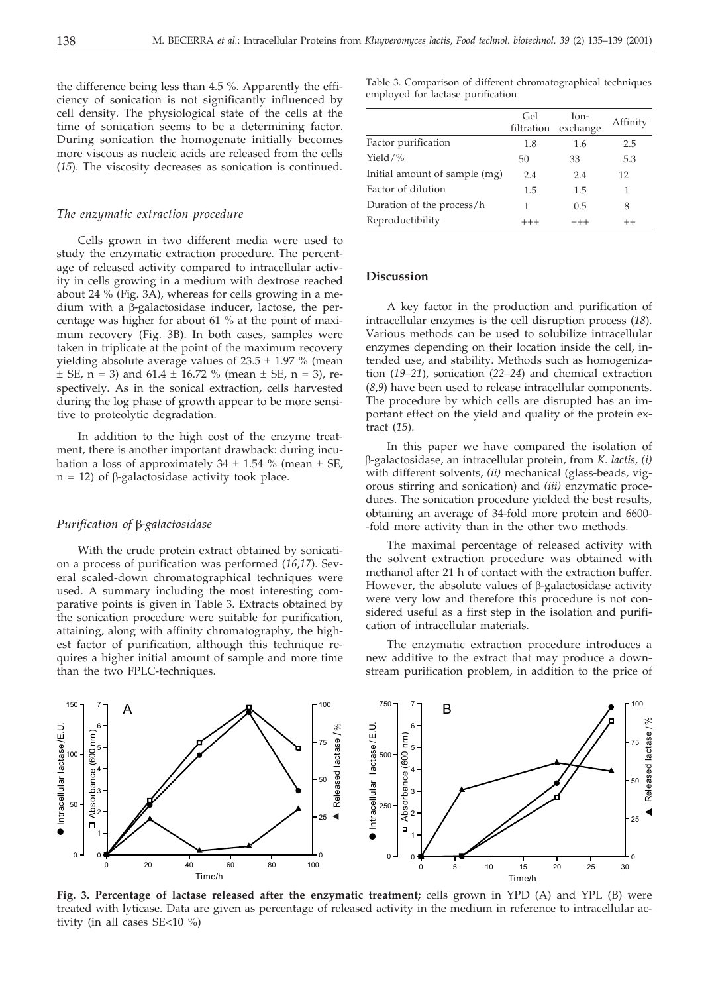the difference being less than 4.5 %. Apparently the efficiency of sonication is not significantly influenced by cell density. The physiological state of the cells at the time of sonication seems to be a determining factor. During sonication the homogenate initially becomes more viscous as nucleic acids are released from the cells (*15*). The viscosity decreases as sonication is continued.

#### *The enzymatic extraction procedure*

Cells grown in two different media were used to study the enzymatic extraction procedure. The percentage of released activity compared to intracellular activity in cells growing in a medium with dextrose reached about 24 % (Fig. 3A), whereas for cells growing in a medium with a  $\beta$ -galactosidase inducer, lactose, the percentage was higher for about 61 % at the point of maximum recovery (Fig. 3B). In both cases, samples were taken in triplicate at the point of the maximum recovery yielding absolute average values of  $23.5 \pm 1.97$  % (mean  $\pm$  SE, n = 3) and 61.4  $\pm$  16.72 % (mean  $\pm$  SE, n = 3), respectively. As in the sonical extraction, cells harvested during the log phase of growth appear to be more sensitive to proteolytic degradation.

In addition to the high cost of the enzyme treatment, there is another important drawback: during incubation a loss of approximately  $34 \pm 1.54$  % (mean  $\pm$  SE,  $n = 12$ ) of  $\beta$ -galactosidase activity took place.

# *Purification of* β-galactosidase

With the crude protein extract obtained by sonication a process of purification was performed (*16*,*17*). Several scaled-down chromatographical techniques were used. A summary including the most interesting comparative points is given in Table 3. Extracts obtained by the sonication procedure were suitable for purification, attaining, along with affinity chromatography, the highest factor of purification, although this technique requires a higher initial amount of sample and more time than the two FPLC-techniques.

Table 3. Comparison of different chromatographical techniques employed for lactase purification

|                               | Gel<br>filtration | $Ion-$<br>exchange | Affinity |
|-------------------------------|-------------------|--------------------|----------|
| Factor purification           | 1.8               | 1.6                | 2.5      |
| Yield/ $%$                    | 50                | 33                 | 5.3      |
| Initial amount of sample (mg) | 2.4               | 2.4                | 12       |
| Factor of dilution            | 1.5               | 1.5                |          |
| Duration of the process/h     | 1                 | 0.5                | 8        |
| Reproductibility              |                   | $^{+++}$           | $^{++}$  |

#### **Discussion**

A key factor in the production and purification of intracellular enzymes is the cell disruption process (*18*). Various methods can be used to solubilize intracellular enzymes depending on their location inside the cell, intended use, and stability. Methods such as homogenization (*19–21*), sonication (*22–24*) and chemical extraction (*8*,*9*) have been used to release intracellular components. The procedure by which cells are disrupted has an important effect on the yield and quality of the protein extract (*15*).

In this paper we have compared the isolation of -galactosidase, an intracellular protein, from *K. lactis, (i)* with different solvents, *(ii)* mechanical (glass-beads, vigorous stirring and sonication) and *(iii)* enzymatic procedures. The sonication procedure yielded the best results, obtaining an average of 34-fold more protein and 6600- -fold more activity than in the other two methods.

The maximal percentage of released activity with the solvent extraction procedure was obtained with methanol after 21 h of contact with the extraction buffer. However, the absolute values of  $\beta$ -galactosidase activity were very low and therefore this procedure is not considered useful as a first step in the isolation and purification of intracellular materials.

The enzymatic extraction procedure introduces a new additive to the extract that may produce a downstream purification problem, in addition to the price of



**Fig. 3. Percentage of lactase released after the enzymatic treatment;** cells grown in YPD (A) and YPL (B) were treated with lyticase. Data are given as percentage of released activity in the medium in reference to intracellular activity (in all cases SE<10 %)